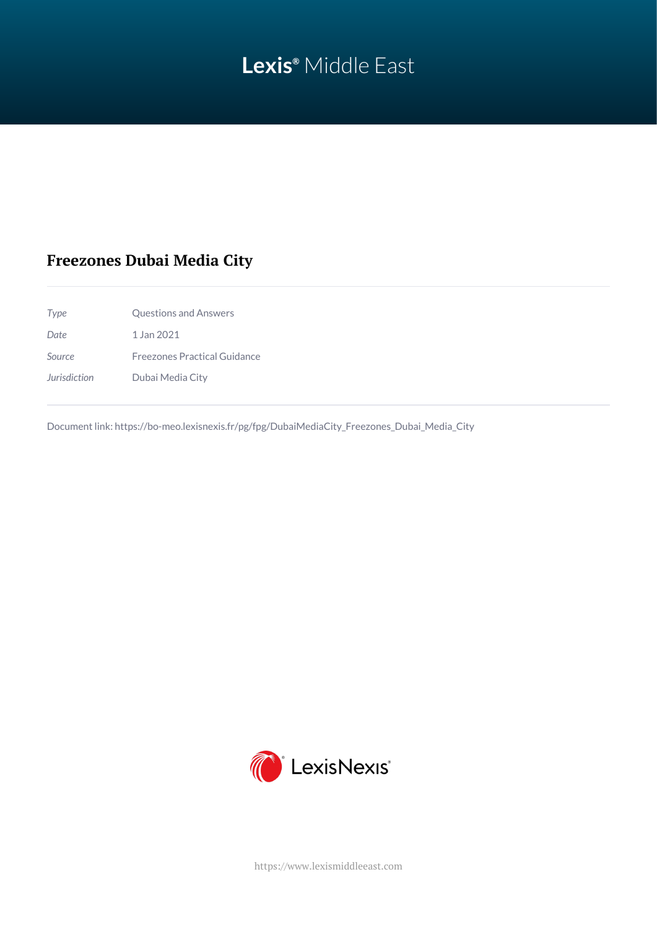# **Lexis®** Middle East

## **Freezones Dubai Media City**

| 1 Jan 2021<br>Date<br>Source            |                                     |  |
|-----------------------------------------|-------------------------------------|--|
|                                         |                                     |  |
|                                         | <b>Freezones Practical Guidance</b> |  |
| <b>Jurisdiction</b><br>Dubai Media City |                                     |  |

Document link: [https://bo-meo.lexisnexis.fr/pg/fpg/DubaiMediaCity\\_Freezones\\_Dubai\\_Media\\_City](https://bo-meo.lexisnexis.fr/pg/fpg/DubaiMediaCity_Freezones_Dubai_Media_City)



<https://www.lexismiddleeast.com>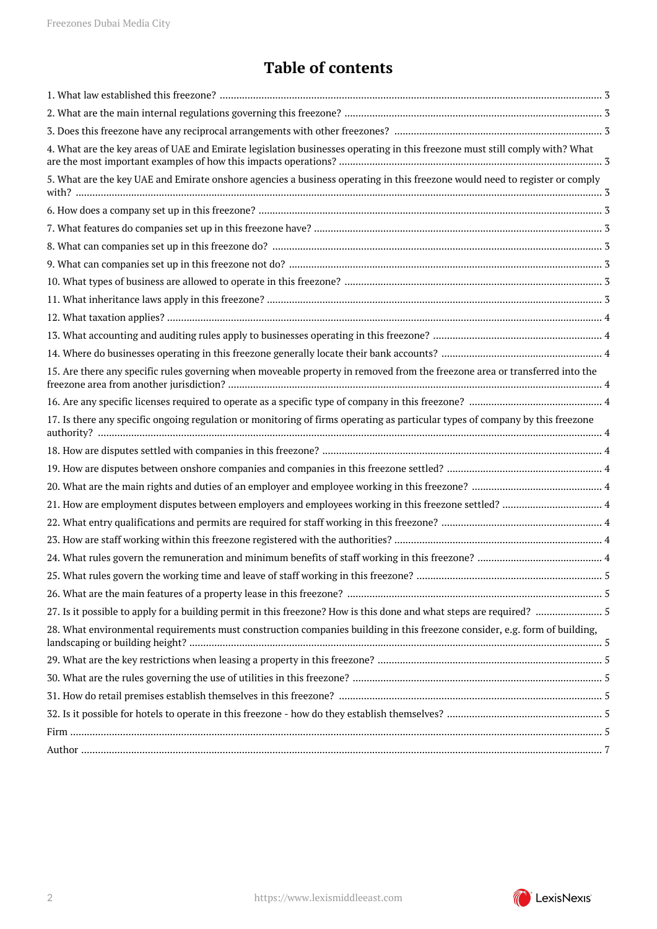## **Table of contents**

| 4. What are the key areas of UAE and Emirate legislation businesses operating in this freezone must still comply with? What   |
|-------------------------------------------------------------------------------------------------------------------------------|
| 5. What are the key UAE and Emirate onshore agencies a business operating in this freezone would need to register or comply   |
|                                                                                                                               |
|                                                                                                                               |
|                                                                                                                               |
|                                                                                                                               |
|                                                                                                                               |
|                                                                                                                               |
|                                                                                                                               |
|                                                                                                                               |
|                                                                                                                               |
| 15. Are there any specific rules governing when moveable property in removed from the freezone area or transferred into the   |
|                                                                                                                               |
| 17. Is there any specific ongoing regulation or monitoring of firms operating as particular types of company by this freezone |
|                                                                                                                               |
|                                                                                                                               |
|                                                                                                                               |
|                                                                                                                               |
|                                                                                                                               |
|                                                                                                                               |
|                                                                                                                               |
|                                                                                                                               |
|                                                                                                                               |
|                                                                                                                               |
| 28. What environmental requirements must construction companies building in this freezone consider, e.g. form of building,    |
|                                                                                                                               |
|                                                                                                                               |
|                                                                                                                               |
|                                                                                                                               |
|                                                                                                                               |
|                                                                                                                               |

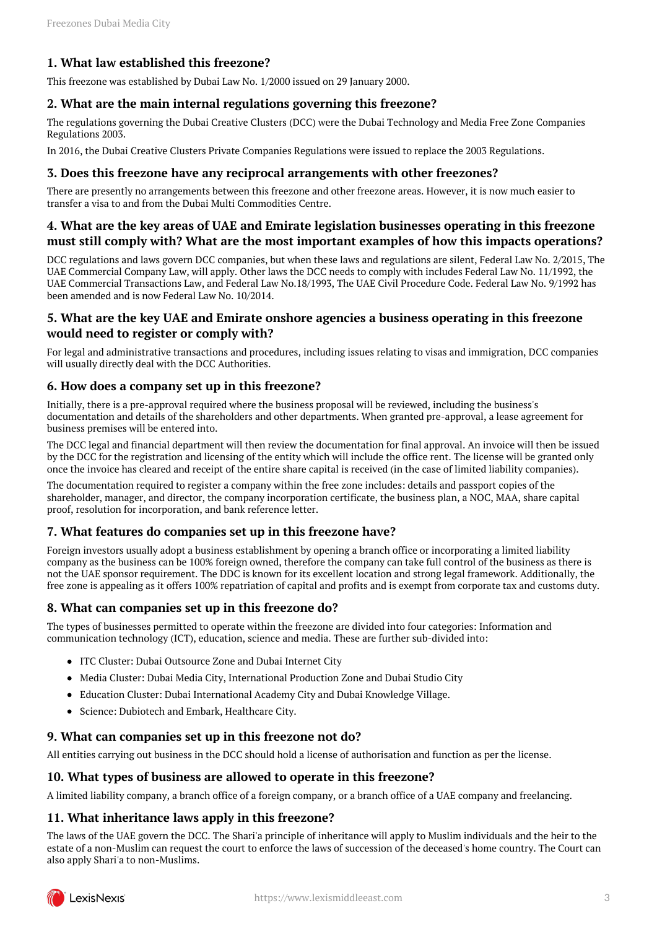## <span id="page-2-0"></span>**1. What law established this freezone?**

This freezone was established by Dubai Law No. 1/2000 issued on 29 January 2000.

#### <span id="page-2-1"></span>**2. What are the main internal regulations governing this freezone?**

The regulations governing the Dubai Creative Clusters (DCC) were the Dubai Technology and Media Free Zone Companies Regulations 2003.

In 2016, the Dubai Creative Clusters Private Companies Regulations were issued to replace the 2003 Regulations.

#### <span id="page-2-2"></span>**3. Does this freezone have any reciprocal arrangements with other freezones?**

There are presently no arrangements between this freezone and other freezone areas. However, it is now much easier to transfer a visa to and from the Dubai Multi Commodities Centre.

### <span id="page-2-3"></span>**4. What are the key areas of UAE and Emirate legislation businesses operating in this freezone must still comply with? What are the most important examples of how this impacts operations?**

DCC regulations and laws govern DCC companies, but when these laws and regulations are silent, Federal Law No. 2/2015, The UAE Commercial Company Law, will apply. Other laws the DCC needs to comply with includes Federal Law No. 11/1992, the UAE Commercial Transactions Law, and Federal Law No.18/1993, The UAE Civil Procedure Code. Federal Law No. 9/1992 has been amended and is now Federal Law No. 10/2014.

## <span id="page-2-4"></span>**5. What are the key UAE and Emirate onshore agencies a business operating in this freezone would need to register or comply with?**

For legal and administrative transactions and procedures, including issues relating to visas and immigration, DCC companies will usually directly deal with the DCC Authorities.

#### <span id="page-2-5"></span>**6. How does a company set up in this freezone?**

Initially, there is a pre-approval required where the business proposal will be reviewed, including the business's documentation and details of the shareholders and other departments. When granted pre-approval, a lease agreement for business premises will be entered into.

The DCC legal and financial department will then review the documentation for final approval. An invoice will then be issued by the DCC for the registration and licensing of the entity which will include the office rent. The license will be granted only once the invoice has cleared and receipt of the entire share capital is received (in the case of limited liability companies).

The documentation required to register a company within the free zone includes: details and passport copies of the shareholder, manager, and director, the company incorporation certificate, the business plan, a NOC, MAA, share capital proof, resolution for incorporation, and bank reference letter.

## <span id="page-2-6"></span>**7. What features do companies set up in this freezone have?**

Foreign investors usually adopt a business establishment by opening a branch office or incorporating a limited liability company as the business can be 100% foreign owned, therefore the company can take full control of the business as there is not the UAE sponsor requirement. The DDC is known for its excellent location and strong legal framework. Additionally, the free zone is appealing as it offers 100% repatriation of capital and profits and is exempt from corporate tax and customs duty.

## <span id="page-2-7"></span>**8. What can companies set up in this freezone do?**

The types of businesses permitted to operate within the freezone are divided into four categories: Information and communication technology (ICT), education, science and media. These are further sub-divided into:

- ITC Cluster: Dubai Outsource Zone and Dubai Internet City
- Media Cluster: Dubai Media City, International Production Zone and Dubai Studio City
- Education Cluster: Dubai International Academy City and Dubai Knowledge Village.
- Science: Dubiotech and Embark, Healthcare City.

#### <span id="page-2-8"></span>**9. What can companies set up in this freezone not do?**

All entities carrying out business in the DCC should hold a license of authorisation and function as per the license.

#### <span id="page-2-9"></span>**10. What types of business are allowed to operate in this freezone?**

A limited liability company, a branch office of a foreign company, or a branch office of a UAE company and freelancing.

## <span id="page-2-10"></span>**11. What inheritance laws apply in this freezone?**

The laws of the UAE govern the DCC. The Shari'a principle of inheritance will apply to Muslim individuals and the heir to the estate of a non-Muslim can request the court to enforce the laws of succession of the deceased's home country. The Court can also apply Shari'a to non-Muslims.

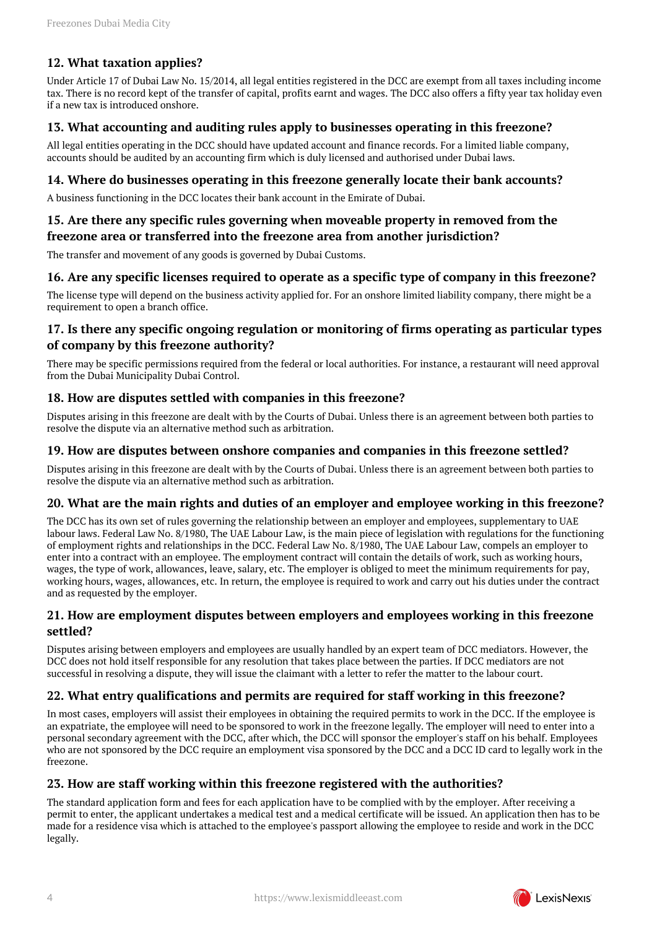## <span id="page-3-0"></span>**12. What taxation applies?**

Under Article 17 of Dubai Law No. 15/2014, all legal entities registered in the DCC are exempt from all taxes including income tax. There is no record kept of the transfer of capital, profits earnt and wages. The DCC also offers a fifty year tax holiday even if a new tax is introduced onshore.

## <span id="page-3-1"></span>**13. What accounting and auditing rules apply to businesses operating in this freezone?**

All legal entities operating in the DCC should have updated account and finance records. For a limited liable company, accounts should be audited by an accounting firm which is duly licensed and authorised under Dubai laws.

### <span id="page-3-2"></span>**14. Where do businesses operating in this freezone generally locate their bank accounts?**

A business functioning in the DCC locates their bank account in the Emirate of Dubai.

## <span id="page-3-3"></span>**15. Are there any specific rules governing when moveable property in removed from the freezone area or transferred into the freezone area from another jurisdiction?**

The transfer and movement of any goods is governed by Dubai Customs.

## <span id="page-3-4"></span>**16. Are any specific licenses required to operate as a specific type of company in this freezone?**

The license type will depend on the business activity applied for. For an onshore limited liability company, there might be a requirement to open a branch office.

## <span id="page-3-5"></span>**17. Is there any specific ongoing regulation or monitoring of firms operating as particular types of company by this freezone authority?**

There may be specific permissions required from the federal or local authorities. For instance, a restaurant will need approval from the Dubai Municipality Dubai Control.

## <span id="page-3-6"></span>**18. How are disputes settled with companies in this freezone?**

Disputes arising in this freezone are dealt with by the Courts of Dubai. Unless there is an agreement between both parties to resolve the dispute via an alternative method such as arbitration.

#### <span id="page-3-7"></span>**19. How are disputes between onshore companies and companies in this freezone settled?**

Disputes arising in this freezone are dealt with by the Courts of Dubai. Unless there is an agreement between both parties to resolve the dispute via an alternative method such as arbitration.

#### <span id="page-3-8"></span>**20. What are the main rights and duties of an employer and employee working in this freezone?**

The DCC has its own set of rules governing the relationship between an employer and employees, supplementary to UAE labour laws. Federal Law No. 8/1980, The UAE Labour Law, is the main piece of legislation with regulations for the functioning of employment rights and relationships in the DCC. Federal Law No. 8/1980, The UAE Labour Law, compels an employer to enter into a contract with an employee. The employment contract will contain the details of work, such as working hours, wages, the type of work, allowances, leave, salary, etc. The employer is obliged to meet the minimum requirements for pay, working hours, wages, allowances, etc. In return, the employee is required to work and carry out his duties under the contract and as requested by the employer.

#### <span id="page-3-9"></span>**21. How are employment disputes between employers and employees working in this freezone settled?**

Disputes arising between employers and employees are usually handled by an expert team of DCC mediators. However, the DCC does not hold itself responsible for any resolution that takes place between the parties. If DCC mediators are not successful in resolving a dispute, they will issue the claimant with a letter to refer the matter to the labour court.

## <span id="page-3-10"></span>**22. What entry qualifications and permits are required for staff working in this freezone?**

In most cases, employers will assist their employees in obtaining the required permits to work in the DCC. If the employee is an expatriate, the employee will need to be sponsored to work in the freezone legally. The employer will need to enter into a personal secondary agreement with the DCC, after which, the DCC will sponsor the employer's staff on his behalf. Employees who are not sponsored by the DCC require an employment visa sponsored by the DCC and a DCC ID card to legally work in the freezone.

## <span id="page-3-11"></span>**23. How are staff working within this freezone registered with the authorities?**

<span id="page-3-12"></span>The standard application form and fees for each application have to be complied with by the employer. After receiving a permit to enter, the applicant undertakes a medical test and a medical certificate will be issued. An application then has to be made for a residence visa which is attached to the employee's passport allowing the employee to reside and work in the DCC legally.

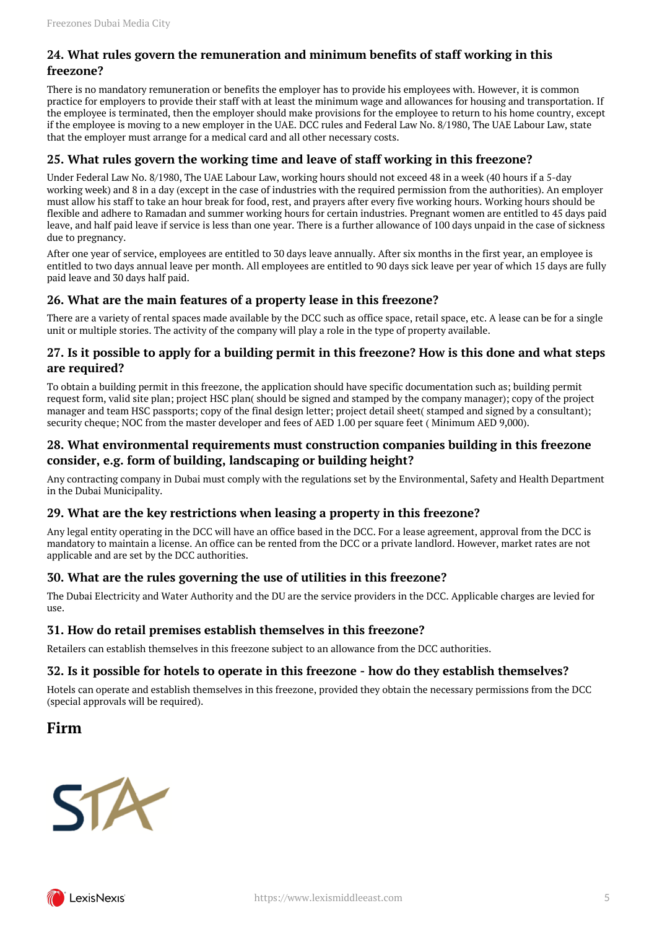## **24. What rules govern the remuneration and minimum benefits of staff working in this freezone?**

There is no mandatory remuneration or benefits the employer has to provide his employees with. However, it is common practice for employers to provide their staff with at least the minimum wage and allowances for housing and transportation. If the employee is terminated, then the employer should make provisions for the employee to return to his home country, except if the employee is moving to a new employer in the UAE. DCC rules and Federal Law No. 8/1980, The UAE Labour Law, state that the employer must arrange for a medical card and all other necessary costs.

## <span id="page-4-0"></span>**25. What rules govern the working time and leave of staff working in this freezone?**

Under Federal Law No. 8/1980, The UAE Labour Law, working hours should not exceed 48 in a week (40 hours if a 5-day working week) and 8 in a day (except in the case of industries with the required permission from the authorities). An employer must allow his staff to take an hour break for food, rest, and prayers after every five working hours. Working hours should be flexible and adhere to Ramadan and summer working hours for certain industries. Pregnant women are entitled to 45 days paid leave, and half paid leave if service is less than one year. There is a further allowance of 100 days unpaid in the case of sickness due to pregnancy.

After one year of service, employees are entitled to 30 days leave annually. After six months in the first year, an employee is entitled to two days annual leave per month. All employees are entitled to 90 days sick leave per year of which 15 days are fully paid leave and 30 days half paid.

## <span id="page-4-1"></span>**26. What are the main features of a property lease in this freezone?**

There are a variety of rental spaces made available by the DCC such as office space, retail space, etc. A lease can be for a single unit or multiple stories. The activity of the company will play a role in the type of property available.

## <span id="page-4-2"></span>**27. Is it possible to apply for a building permit in this freezone? How is this done and what steps are required?**

To obtain a building permit in this freezone, the application should have specific documentation such as; building permit request form, valid site plan; project HSC plan( should be signed and stamped by the company manager); copy of the project manager and team HSC passports; copy of the final design letter; project detail sheet( stamped and signed by a consultant); security cheque; NOC from the master developer and fees of AED 1.00 per square feet ( Minimum AED 9,000).

## <span id="page-4-3"></span>**28. What environmental requirements must construction companies building in this freezone consider, e.g. form of building, landscaping or building height?**

Any contracting company in Dubai must comply with the regulations set by the Environmental, Safety and Health Department in the Dubai Municipality.

## <span id="page-4-4"></span>**29. What are the key restrictions when leasing a property in this freezone?**

Any legal entity operating in the DCC will have an office based in the DCC. For a lease agreement, approval from the DCC is mandatory to maintain a license. An office can be rented from the DCC or a private landlord. However, market rates are not applicable and are set by the DCC authorities.

## <span id="page-4-5"></span>**30. What are the rules governing the use of utilities in this freezone?**

The Dubai Electricity and Water Authority and the DU are the service providers in the DCC. Applicable charges are levied for use.

## <span id="page-4-6"></span>**31. How do retail premises establish themselves in this freezone?**

Retailers can establish themselves in this freezone subject to an allowance from the DCC authorities.

## <span id="page-4-7"></span>**32. Is it possible for hotels to operate in this freezone - how do they establish themselves?**

Hotels can operate and establish themselves in this freezone, provided they obtain the necessary permissions from the DCC (special approvals will be required).

## <span id="page-4-8"></span>**Firm**



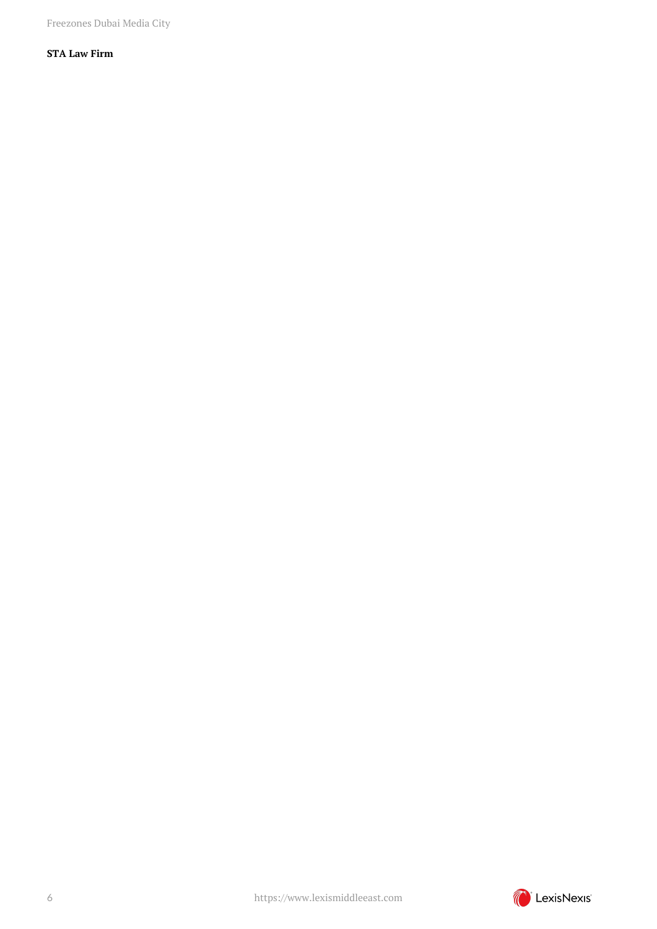Freezones Dubai Media City

## **STA Law Firm**